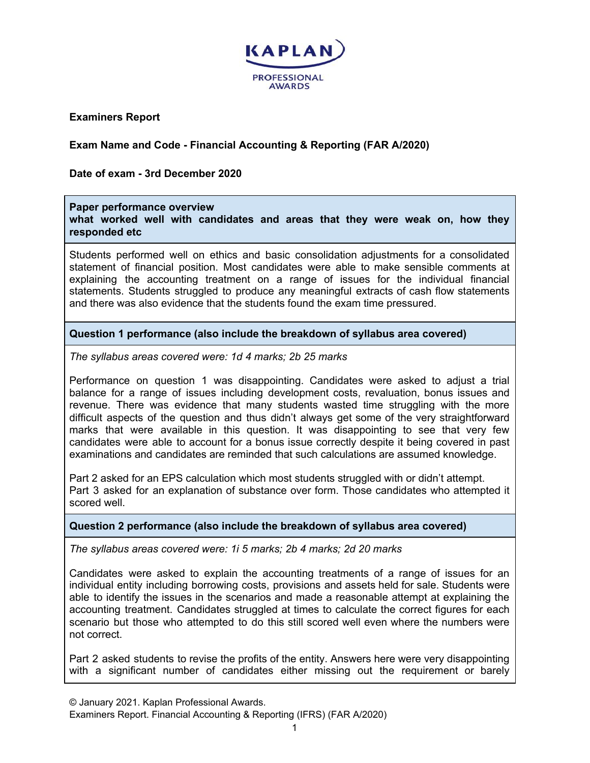

**Examiners Report**

# **Exam Name and Code - Financial Accounting & Reporting (FAR A/2020)**

**Date of exam - 3rd December 2020**

#### **Paper performance overview**

**what worked well with candidates and areas that they were weak on, how they responded etc**

Students performed well on ethics and basic consolidation adjustments for a consolidated statement of financial position. Most candidates were able to make sensible comments at explaining the accounting treatment on a range of issues for the individual financial statements. Students struggled to produce any meaningful extracts of cash flow statements and there was also evidence that the students found the exam time pressured.

### **Question 1 performance (also include the breakdown of syllabus area covered)**

*The syllabus areas covered were: 1d 4 marks; 2b 25 marks*

Performance on question 1 was disappointing. Candidates were asked to adjust a trial balance for a range of issues including development costs, revaluation, bonus issues and revenue. There was evidence that many students wasted time struggling with the more difficult aspects of the question and thus didn't always get some of the very straightforward marks that were available in this question. It was disappointing to see that very few candidates were able to account for a bonus issue correctly despite it being covered in past examinations and candidates are reminded that such calculations are assumed knowledge.

Part 2 asked for an EPS calculation which most students struggled with or didn't attempt. Part 3 asked for an explanation of substance over form. Those candidates who attempted it scored well.

#### **Question 2 performance (also include the breakdown of syllabus area covered)**

*The syllabus areas covered were: 1i 5 marks; 2b 4 marks; 2d 20 marks*

Candidates were asked to explain the accounting treatments of a range of issues for an individual entity including borrowing costs, provisions and assets held for sale. Students were able to identify the issues in the scenarios and made a reasonable attempt at explaining the accounting treatment. Candidates struggled at times to calculate the correct figures for each scenario but those who attempted to do this still scored well even where the numbers were not correct.

Part 2 asked students to revise the profits of the entity. Answers here were very disappointing with a significant number of candidates either missing out the requirement or barely